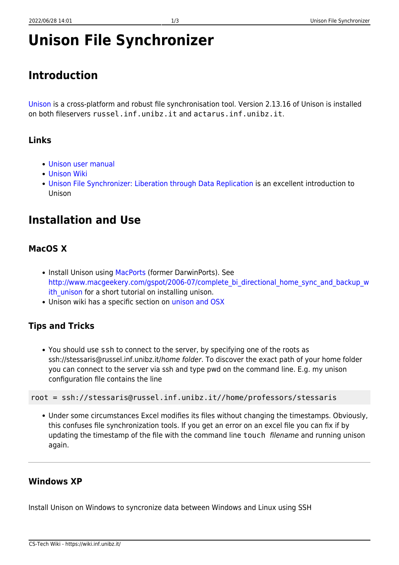# **Unison File Synchronizer**

# **Introduction**

[Unison](http://www.cis.upenn.edu/~bcpierce/unison/) is a cross-platform and robust file synchronisation tool. Version 2.13.16 of Unison is installed on both fileservers russel.inf.unibz.it and actarus.inf.unibz.it.

## **Links**

- [Unison user manual](http://www.cis.upenn.edu/~bcpierce/unison/download/releases/stable/unison-manual.html)
- [Unison Wiki](http://alliance.seas.upenn.edu/~bcpierce/wiki/index.php?n=Main.HomePage)
- [Unison File Synchronizer: Liberation through Data Replication](http://web.mit.edu/pgbovine/www/unison_guide.htm) is an excellent introduction to Unison

# **Installation and Use**

## **MacOS X**

- Install Unison using [MacPorts](http://trac.macosforge.org/projects/macports/wiki) (former DarwinPorts). See [http://www.macgeekery.com/gspot/2006-07/complete\\_bi\\_directional\\_home\\_sync\\_and\\_backup\\_w](http://www.macgeekery.com/gspot/2006-07/complete_bi_directional_home_sync_and_backup_with_unison) ith unison for a short tutorial on installing unison.
- Unison wiki has a specific section on [unison and OSX](http://alliance.seas.upenn.edu/~bcpierce/wiki/index.php?n=Main.UnisonFAQOSSpecific#osx)

# **Tips and Tricks**

You should use ssh to connect to the server, by specifying one of the roots as ssh://stessaris@russel.inf.unibz.it/home folder. To discover the exact path of your home folder you can connect to the server via ssh and type pwd on the command line. E.g. my unison configuration file contains the line

```
root = ssh://stessaris@russel.inf.unibz.it//home/professors/stessaris
```
Under some circumstances Excel modifies its files without changing the timestamps. Obviously, this confuses file synchronization tools. If you get an error on an excel file you can fix if by updating the timestamp of the file with the command line touch filename and running unison again.

### **Windows XP**

Install Unison on Windows to syncronize data between Windows and Linux using SSH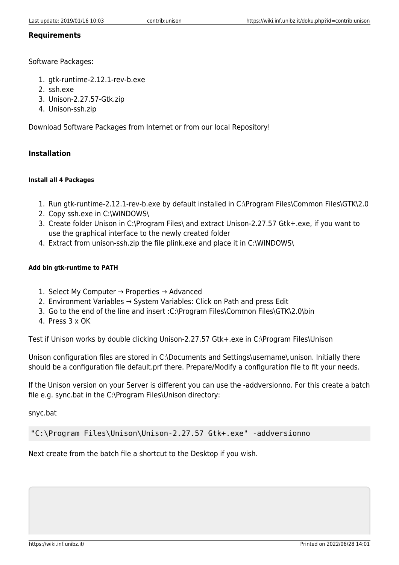#### **Requirements**

Software Packages:

- 1. gtk-runtime-2.12.1-rev-b.exe
- 2. ssh.exe
- 3. Unison-2.27.57-Gtk.zip
- 4. Unison-ssh.zip

Download Software Packages from Internet or from our local Repository!

#### **Installation**

#### **Install all 4 Packages**

- 1. Run gtk-runtime-2.12.1-rev-b.exe by default installed in C:\Program Files\Common Files\GTK\2.0
- 2. Copy ssh.exe in C:\WINDOWS\
- 3. Create folder Unison in C:\Program Files\ and extract Unison-2.27.57 Gtk+.exe, if you want to use the graphical interface to the newly created folder
- 4. Extract from unison-ssh.zip the file plink.exe and place it in C:\WINDOWS\

#### **Add bin gtk-runtime to PATH**

- 1. Select My Computer → Properties → Advanced
- 2. Environment Variables → System Variables: Click on Path and press Edit
- 3. Go to the end of the line and insert :C:\Program Files\Common Files\GTK\2.0\bin
- 4. Press 3 x OK

Test if Unison works by double clicking Unison-2.27.57 Gtk+.exe in C:\Program Files\Unison

Unison configuration files are stored in C:\Documents and Settings\username\.unison. Initially there should be a configuration file default.prf there. Prepare/Modify a configuration file to fit your needs.

If the Unison version on your Server is different you can use the -addversionno. For this create a batch file e.g. sync.bat in the C:\Program Files\Unison directory:

snyc.bat

"C:\Program Files\Unison\Unison-2.27.57 Gtk+.exe" -addversionno

Next create from the batch file a shortcut to the Desktop if you wish.